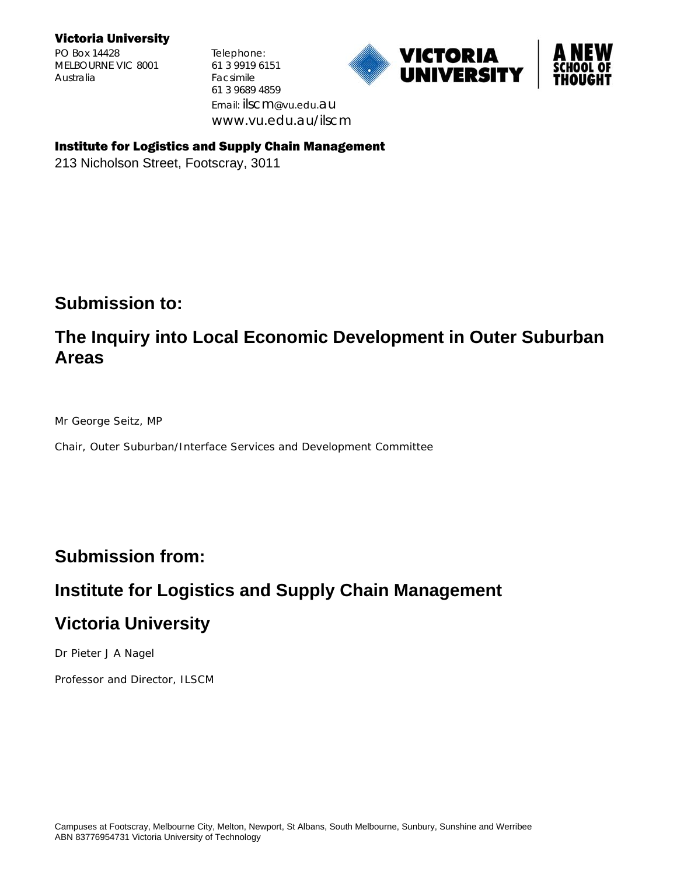#### Victoria University

PO Box 14428 Telephone: MELBOURNE VIC 8001 61 3 9919 6151 Australia Facsimile

61 3 9689 4859 Email: ilscm@vu.edu.au www.vu.edu.au/ilscm





#### Institute for Logistics and Supply Chain Management

213 Nicholson Street, Footscray, 3011

## **Submission to:**

# **The Inquiry into Local Economic Development in Outer Suburban Areas**

Mr George Seitz, MP

Chair, Outer Suburban/Interface Services and Development Committee

# **Submission from:**

# **Institute for Logistics and Supply Chain Management**

# **Victoria University**

Dr Pieter J A Nagel

Professor and Director, ILSCM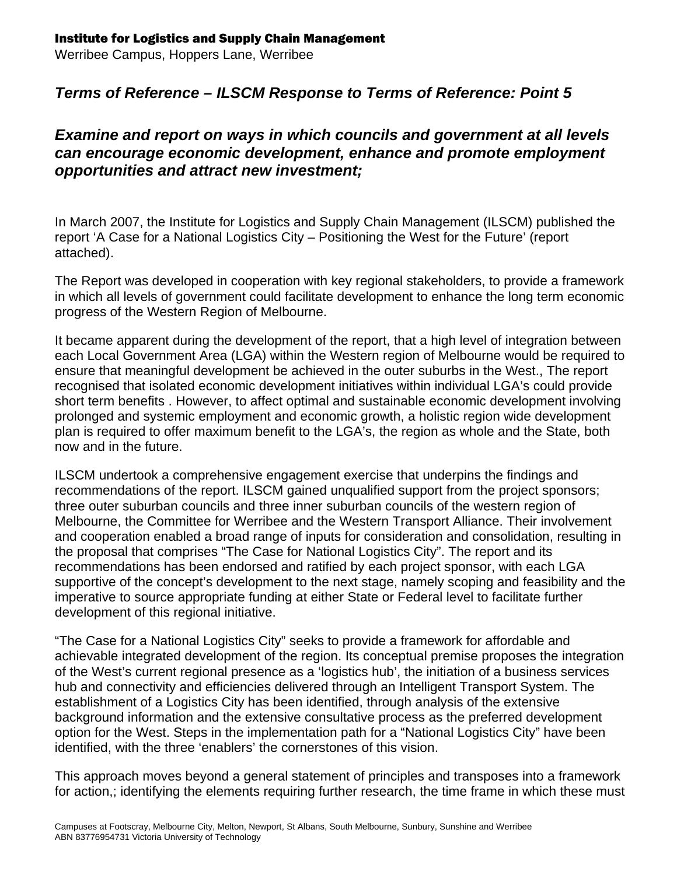## Institute for Logistics and Supply Chain Management

Werribee Campus, Hoppers Lane, Werribee

## *Terms of Reference – ILSCM Response to Terms of Reference: Point 5*

### *Examine and report on ways in which councils and government at all levels can encourage economic development, enhance and promote employment opportunities and attract new investment;*

In March 2007, the Institute for Logistics and Supply Chain Management (ILSCM) published the report 'A Case for a National Logistics City – Positioning the West for the Future' (report attached).

The Report was developed in cooperation with key regional stakeholders, to provide a framework in which all levels of government could facilitate development to enhance the long term economic progress of the Western Region of Melbourne.

It became apparent during the development of the report, that a high level of integration between each Local Government Area (LGA) within the Western region of Melbourne would be required to ensure that meaningful development be achieved in the outer suburbs in the West., The report recognised that isolated economic development initiatives within individual LGA's could provide short term benefits . However, to affect optimal and sustainable economic development involving prolonged and systemic employment and economic growth, a holistic region wide development plan is required to offer maximum benefit to the LGA's, the region as whole and the State, both now and in the future.

ILSCM undertook a comprehensive engagement exercise that underpins the findings and recommendations of the report. ILSCM gained unqualified support from the project sponsors; three outer suburban councils and three inner suburban councils of the western region of Melbourne, the Committee for Werribee and the Western Transport Alliance. Their involvement and cooperation enabled a broad range of inputs for consideration and consolidation, resulting in the proposal that comprises "The Case for National Logistics City". The report and its recommendations has been endorsed and ratified by each project sponsor, with each LGA supportive of the concept's development to the next stage, namely scoping and feasibility and the imperative to source appropriate funding at either State or Federal level to facilitate further development of this regional initiative.

"The Case for a National Logistics City" seeks to provide a framework for affordable and achievable integrated development of the region. Its conceptual premise proposes the integration of the West's current regional presence as a 'logistics hub', the initiation of a business services hub and connectivity and efficiencies delivered through an Intelligent Transport System. The establishment of a Logistics City has been identified, through analysis of the extensive background information and the extensive consultative process as the preferred development option for the West. Steps in the implementation path for a "National Logistics City" have been identified, with the three 'enablers' the cornerstones of this vision.

This approach moves beyond a general statement of principles and transposes into a framework for action,; identifying the elements requiring further research, the time frame in which these must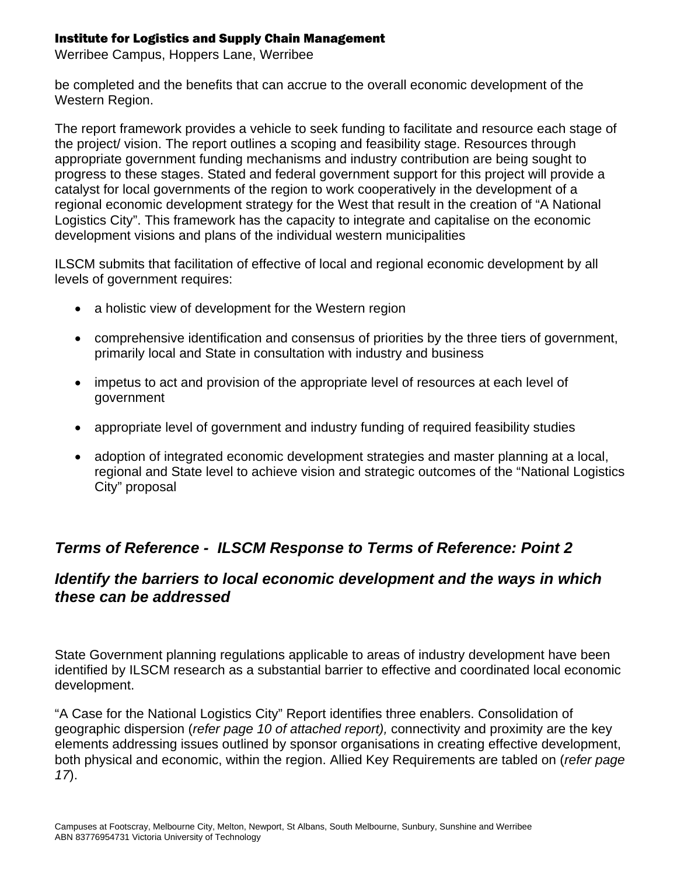#### Institute for Logistics and Supply Chain Management

Werribee Campus, Hoppers Lane, Werribee

be completed and the benefits that can accrue to the overall economic development of the Western Region.

The report framework provides a vehicle to seek funding to facilitate and resource each stage of the project/ vision. The report outlines a scoping and feasibility stage. Resources through appropriate government funding mechanisms and industry contribution are being sought to progress to these stages. Stated and federal government support for this project will provide a catalyst for local governments of the region to work cooperatively in the development of a regional economic development strategy for the West that result in the creation of "A National Logistics City". This framework has the capacity to integrate and capitalise on the economic development visions and plans of the individual western municipalities

ILSCM submits that facilitation of effective of local and regional economic development by all levels of government requires:

- a holistic view of development for the Western region
- comprehensive identification and consensus of priorities by the three tiers of government, primarily local and State in consultation with industry and business
- impetus to act and provision of the appropriate level of resources at each level of government
- appropriate level of government and industry funding of required feasibility studies
- adoption of integrated economic development strategies and master planning at a local, regional and State level to achieve vision and strategic outcomes of the "National Logistics City" proposal

## *Terms of Reference - ILSCM Response to Terms of Reference: Point 2*

## *Identify the barriers to local economic development and the ways in which these can be addressed*

State Government planning regulations applicable to areas of industry development have been identified by ILSCM research as a substantial barrier to effective and coordinated local economic development.

"A Case for the National Logistics City" Report identifies three enablers. Consolidation of geographic dispersion (*refer page 10 of attached report),* connectivity and proximity are the key elements addressing issues outlined by sponsor organisations in creating effective development, both physical and economic, within the region. Allied Key Requirements are tabled on (*refer page 17*).